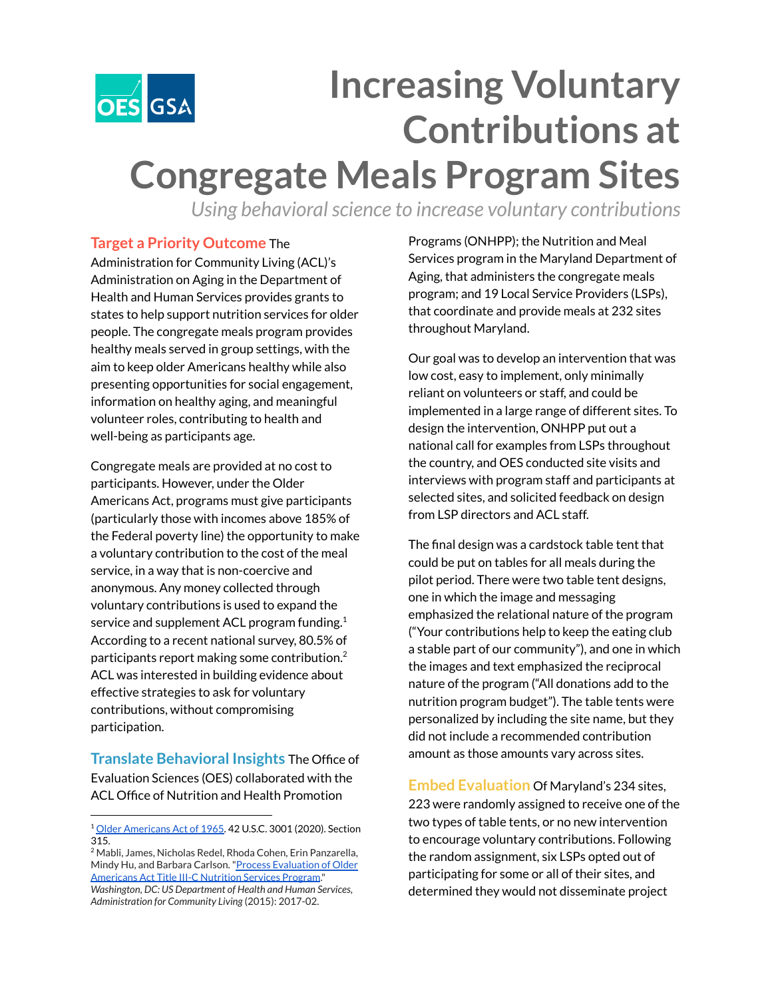

## **Increasing Voluntary Contributions at Congregate Meals Program Sites**

*Using behavioral science to increase voluntary contributions* 

## **Target a Priority Outcome** The

Administration for Community Living (ACL)'s Administration on Aging in the Department of Health and Human Services provides grants to states to help support nutrition services for older people. The congregate meals program provides healthy meals served in group settings, with the aim to keep older Americans healthy while also presenting opportunities for social engagement, information on healthy aging, and meaningful volunteer roles, contributing to health and well-being as participants age.

Congregate meals are provided at no cost to participants. However, under the Older Americans Act, programs must give participants (particularly those with incomes above 185% of the Federal poverty line) the opportunity to make a voluntary contribution to the cost of the meal service, in a way that is non-coercive and anonymous. Any money collected through voluntary contributions is used to expand the service and supplement ACL program funding. $^{\rm 1}$ According to a recent national survey, 80.5% of participants report making some contribution. $^2$ ACL was interested in building evidence about effective strategies to ask for voluntary contributions, without compromising participation.

**Translate Behavioral Insights** The Office of Evaluation Sciences (OES) collaborated with the ACL Office of Nutrition and Health Promotion

Programs (ONHPP); the Nutrition and Meal Services program in the Maryland Department of Aging, that administers the congregate meals program; and 19 Local Service Providers (LSPs), that coordinate and provide meals at 232 sites throughout Maryland.

Our goal was to develop an intervention that was low cost, easy to implement, only minimally reliant on volunteers or staff, and could be implemented in a large range of different sites. To design the intervention, ONHPP put out a national call for examples from LSPs throughout the country, and OES conducted site visits and interviews with program staff and participants at selected sites, and solicited feedback on design from LSP directors and ACL staff.

The final design was a cardstock table tent that could be put on tables for all meals during the pilot period. There were two table tent designs, one in which the image and messaging emphasized the relational nature of the program ("Your contributions help to keep the eating club a stable part of our community"), and one in which the images and text emphasized the reciprocal nature of the program ("All donations add to the nutrition program budget"). The table tents were personalized by including the site name, but they did not include a recommended contribution amount as those amounts vary across sites.

**Embed Evaluation** Of Maryland's 234 sites, 223 were randomly assigned to receive one of the two types of table tents, or no new intervention to encourage voluntary contributions. Following the random assignment, six LSPs opted out of participating for some or all of their sites, and determined they would not disseminate project

<sup>1</sup> Older [Americans](https://acl.gov/sites/default/files/about-acl/2020-04/Older%20Americans%20Act%20Of%201965%20as%20amended%20by%20Public%20Law%20116-131%20on%203-25-2020.pdf) Act of 1965. 42 U.S.C. 3001 (2020). Section 315.

<sup>2</sup> Mabli, James, Nicholas Redel, Rhoda Cohen, Erin Panzarella, Mindy Hu, and Barbara Carlson. "Process [Evaluation](https://acl.gov/sites/default/files/programs/2017-02/NSP-Process-Evaluation-Report.pdf) of Older [Americans](https://acl.gov/sites/default/files/programs/2017-02/NSP-Process-Evaluation-Report.pdf) Act Title III-C Nutrition Services Program." *Washington, DC: US Department of Health and Human Services, Administration for Community Living* (2015): 2017-02.